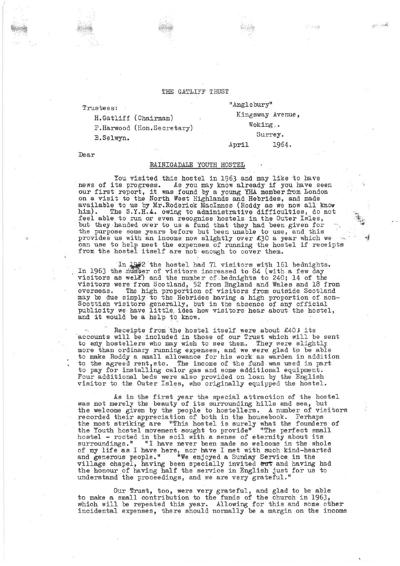## THE GATLIFF TRUST

Trustees:

B.Selwyn.

H.Gatliff (Chairman)

P.Harwood (Hon.Secretary)

"Anglebury" Kingsway Avenue, Woking,. Surrey. April 1964.

Dear

## RAINIGADALE YOUTH HOSTEL

You visited this hostel in 1963 and may like to have news of its progress. As you may know already if you have seen our first report, it was .found by a young YHA member from London on a visit to the North West Highlands and Hebrides, and made available to us by Mr. Roderick MacInnes (Roddy as we now all know him). The **S.Y.H.A.** owing to administrative difficulties, do not feel able to run or even recognise hostels in the Outer Isles, but they handed over to us a fund that they had been given for the purpose some years before but been unable to use, and this provides us with an income now slightly over  $\&$ 30 a year which we can use to help meet the expenses of running the hostel if receipts from the hostel itself are not enough to cover them.

In 1963 the hostel had 71 visitors with 161 bednights.<br>In 1963 the number of visitors increased to 84 (with a few day visitors as well) and the number of bednights to 240; 14 of the visitors were from Scotland, 52 from England and Wales and 18 from overseas. . The high proportion of visitors from outside Scotland may be due simply to the Hebrides having a high proportion of non-Scottish visitors generally, but in the absence of any official publicity we have little idea how visitors hear about the hostel, publicity we have little idea how visit

Receipts from the hostel itself were about  $£40$ ; its accounts will be included in those of our Trust which will be sent to any hostellers who may wish to see them. They were slightly more than ordinary running expenses, and we were glad to be able to make Roddy a small allowance for his work as warden in addition to the agreed rent, etc. The income of the fund was used in part to pay for installing calor gas and some additional equipment. Four additional beds were also provided on loan by the English visitor to the Outer Isles, who originally equipped the hostel.

As in the first year the special attraction of the hostel was not merely the beauty of its surrounding hills and sea, but the welcome given by the people to hostellers. A number of visitors recorded their appreciation of both in the housebook. Perhaps the most striking are "This hostel is surely what the founders of the Youth hostel movement sought to provide" "The perfect small hostel - rooted in the soil with a sense of eternity about its surroundings." "I have never been made so welcome in the whole of my life as I have here, nor have I met with such kind-hearted and generous people." "We enjoyed a Sunday Service in the village chapel, having been specially invited out and having had the honour of having half the service in English just for us to understand the proceedings, and we are very grateful."

Our flrust, too, were very grateful, and glad to be able to make a small contribution to the funds of the church in 1963, which will be repeated this year. Allowing for this and some other incidental expenses, there should normally be a margin on the income  $\mu^{\rm{max}}_{\rm{max}}$